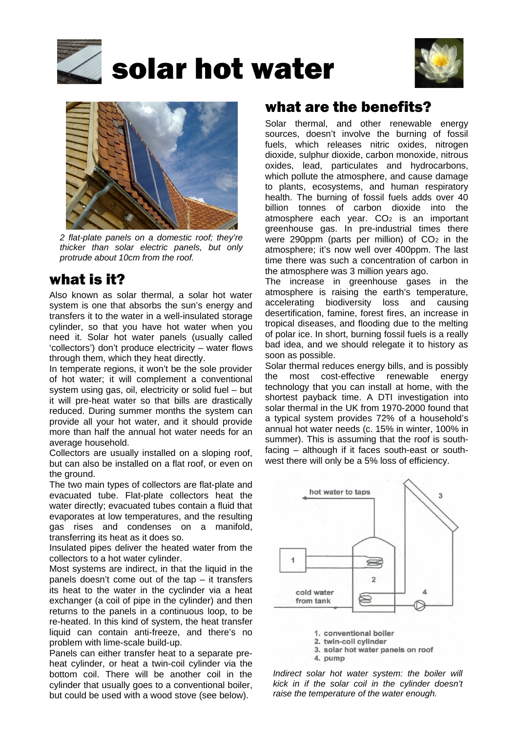





*2 flat-plate panels on a domestic roof; they're thicker than solar electric panels, but only protrude about 10cm from the roof.*

# what is it?

Also known as solar thermal, a solar hot water system is one that absorbs the sun's energy and transfers it to the water in a well-insulated storage cylinder, so that you have hot water when you need it. Solar hot water panels (usually called 'collectors') don't produce electricity – water flows through them, which they heat directly.

In temperate regions, it won't be the sole provider of hot water; it will complement a conventional system using gas, oil, electricity or solid fuel – but it will pre-heat water so that bills are drastically reduced. During summer months the system can provide all your hot water, and it should provide more than half the annual hot water needs for an average household.

Collectors are usually installed on a sloping roof, but can also be installed on a flat roof, or even on the ground.

The two main types of collectors are flat-plate and evacuated tube. Flat-plate collectors heat the water directly; evacuated tubes contain a fluid that evaporates at low temperatures, and the resulting gas rises and condenses on a manifold, transferring its heat as it does so.

Insulated pipes deliver the heated water from the collectors to a hot water cylinder.

Most systems are indirect, in that the liquid in the panels doesn't come out of the tap  $-$  it transfers its heat to the water in the cyclinder via a heat exchanger (a coil of pipe in the cylinder) and then returns to the panels in a continuous loop, to be re-heated. In this kind of system, the heat transfer liquid can contain anti-freeze, and there's no problem with lime-scale build-up.

Panels can either transfer heat to a separate preheat cylinder, or heat a twin-coil cylinder via the bottom coil. There will be another coil in the cylinder that usually goes to a conventional boiler, but could be used with a wood stove (see below).

# what are the benefits?

Solar thermal, and other renewable energy sources, doesn't involve the burning of fossil fuels, which releases nitric oxides, nitrogen dioxide, sulphur dioxide, carbon monoxide, nitrous oxides, lead, particulates and hydrocarbons, which pollute the atmosphere, and cause damage to plants, ecosystems, and human respiratory health. The burning of fossil fuels adds over 40 billion tonnes of carbon dioxide into the atmosphere each year. CO<sub>2</sub> is an important greenhouse gas. In pre-industrial times there were 290ppm (parts per million) of  $CO<sub>2</sub>$  in the atmosphere; it's now well over 400ppm. The last time there was such a concentration of carbon in the atmosphere was 3 million years ago.

The increase in greenhouse gases in the atmosphere is raising the earth's temperature, accelerating biodiversity loss and causing desertification, famine, forest fires, an increase in tropical diseases, and flooding due to the melting of polar ice. In short, burning fossil fuels is a really bad idea, and we should relegate it to history as soon as possible.

Solar thermal reduces energy bills, and is possibly the most cost-effective renewable energy technology that you can install at home, with the shortest payback time. A DTI investigation into solar thermal in the UK from 1970-2000 found that a typical system provides 72% of a household's annual hot water needs (c. 15% in winter, 100% in summer). This is assuming that the roof is southfacing – although if it faces south-east or southwest there will only be a 5% loss of efficiency.



*Indirect solar hot water system: the boiler will kick in if the solar coil in the cylinder doesn't raise the temperature of the water enough.*